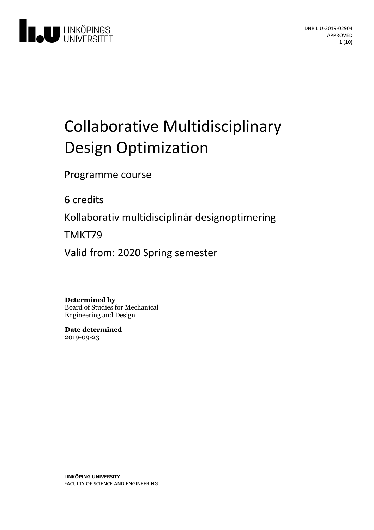

# Collaborative Multidisciplinary Design Optimization

Programme course

6 credits

Kollaborativ multidisciplinär designoptimering

TMKT79

Valid from: 2020 Spring semester

**Determined by**

Board of Studies for Mechanical Engineering and Design

**Date determined** 2019-09-23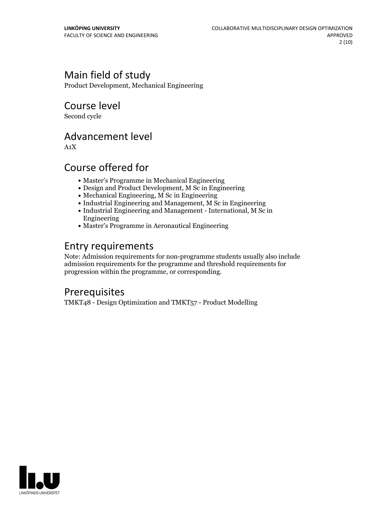### Main field of study

Product Development, Mechanical Engineering

### Course level

Second cycle

### Advancement level

A1X

### Course offered for

- Master's Programme in Mechanical Engineering
- Design and Product Development, M Sc in Engineering
- Mechanical Engineering, M Sc in Engineering
- Industrial Engineering and Management, M Sc in Engineering
- Industrial Engineering and Management International, M Sc in Engineering
- Master's Programme in Aeronautical Engineering

### Entry requirements

Note: Admission requirements for non-programme students usually also include admission requirements for the programme and threshold requirements for progression within the programme, or corresponding.

### **Prerequisites**

TMKT48 - Design Optimization and TMKT57 - Product Modelling

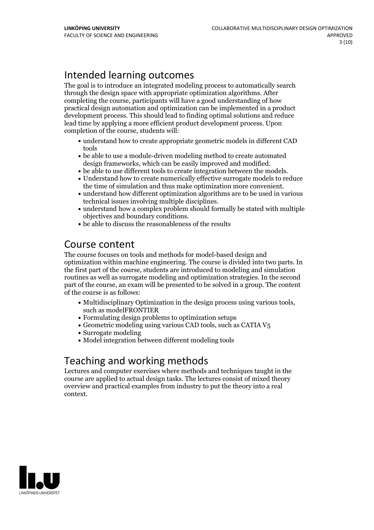### Intended learning outcomes

The goal is to introduce an integrated modeling process to automatically search through the design space with appropriate optimization algorithms. After completing the course, participants will have a good understanding of how practical design automation and optimization can be implemented in a product development process. This should lead to finding optimal solutions and reduce lead time by applying a more efficient product development process. Upon completion of the course, students will:

- understand how to create appropriate geometric models in different CAD tools
- be able to use a module-driven modeling method to create automated
- 
- $\bullet$  be able to use different tools to create integration between the models.<br> $\bullet$  Understand how to create numerically effective surrogate models to reduce
- the time of simulation and thus make optimization more convenient.<br>• understand how different optimization algorithms are to be used in various
- technical issues involving multiple disciplines.<br>• understand how a complex problem should formally be stated with multiple objectives and boundary conditions. be able to discuss the reasonableness of the results
- 

### Course content

The course focuses on tools and methods for model-based design and optimization within machine engineering. The course is divided into two parts. In the first part of the course, students are introduced to modeling and simulation routines as well as surrogate modeling and optimization strategies. In the second part of the course, an exam will be presented to be solved in a group. The content of the course is as follows:

- Multidisciplinary Optimization in the design process using various tools, such asmodelFRONTIER
- Formulating design problems to optimization setups
- Geometric modeling using various CAD tools, such as CATIA V5
- Surrogate modeling
- Model integration between different modeling tools

### Teaching and working methods

Lectures and computer exercises where methods and techniques taught in the course are applied to actual design tasks. The lectures consist of mixed theory overview and practical examples from industry to put the theory into a real context.

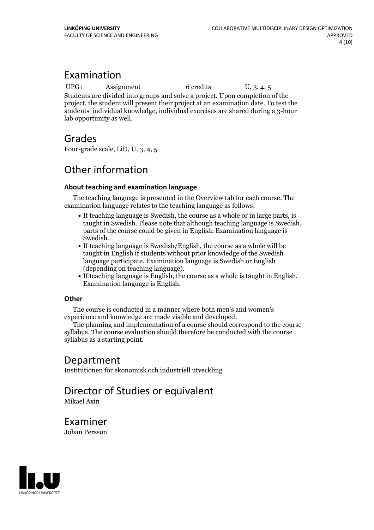### Examination

UPG1 Assignment 6 credits U, 3, 4, 5

Students are divided into groups and solve a project. Upon completion of the project, the student will present their project at an examination date. To test the students' individual knowledge, individual exercises are shared during a 3-hour lab opportunity as well.

### Grades

Four-grade scale, LiU, U, 3, 4, 5

### Other information

#### **About teaching and examination language**

The teaching language is presented in the Overview tab for each course. The examination language relates to the teaching language as follows:

- If teaching language is Swedish, the course as a whole or in large parts, is taught in Swedish. Please note that although teaching language is Swedish, parts of the course could be given in English. Examination language is
- Swedish.<br>• If teaching language is Swedish/English, the course as a whole will be taught in English if students without prior knowledge of the Swedish language participate. Examination language is Swedish or English
- (depending on teaching language).<br>• If teaching language is English, the course as a whole is taught in English.<br>Examination language is English.

#### **Other**

The course is conducted in a manner where both men's and women's

experience and knowledge are made visible and developed. The planning and implementation of <sup>a</sup> course should correspond to the course syllabus. The course evaluation should therefore be conducted with the course syllabus as a starting point.

### Department

Institutionen för ekonomisk och industriell utveckling

# Director of Studies or equivalent

Mikael Axin

Examiner Johan Persson

LINKÖPINGS UNIVERSITET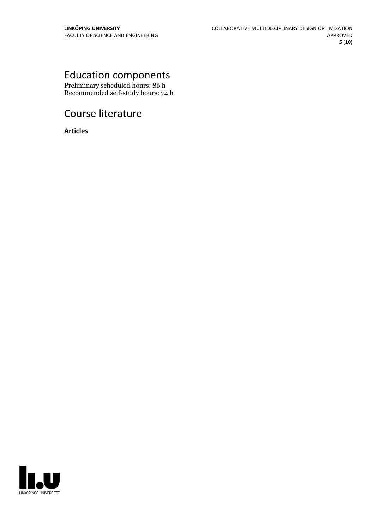## Education components

Preliminary scheduled hours: 86 h Recommended self-study hours: 74 h

### Course literature

**Articles**

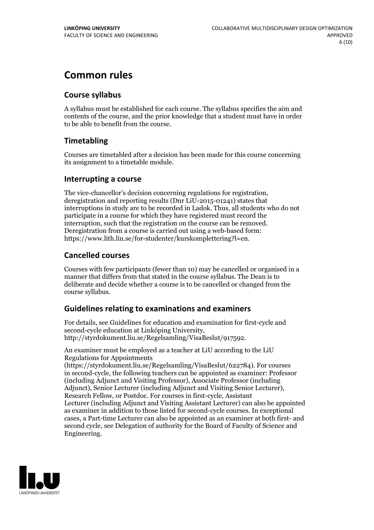### **Common rules**

#### **Course syllabus**

A syllabus must be established for each course. The syllabus specifies the aim and contents of the course, and the prior knowledge that a student must have in order to be able to benefit from the course.

### **Timetabling**

Courses are timetabled after a decision has been made for this course concerning its assignment to a timetable module.

#### **Interrupting a course**

The vice-chancellor's decision concerning regulations for registration, deregistration and reporting results (Dnr LiU-2015-01241) states that interruptions in study are to be recorded in Ladok. Thus, all students who do not participate in a course for which they have registered must record the interruption, such that the registration on the course can be removed. Deregistration from <sup>a</sup> course is carried outusing <sup>a</sup> web-based form: https://www.lith.liu.se/for-studenter/kurskomplettering?l=en.

### **Cancelled courses**

Courses with few participants (fewer than 10) may be cancelled or organised in a manner that differs from that stated in the course syllabus. The Dean is to deliberate and decide whether a course is to be cancelled or changed from the course syllabus.

### **Guidelines relatingto examinations and examiners**

For details, see Guidelines for education and examination for first-cycle and second-cycle education at Linköping University, http://styrdokument.liu.se/Regelsamling/VisaBeslut/917592.

An examiner must be employed as a teacher at LiU according to the LiU Regulations for Appointments

(https://styrdokument.liu.se/Regelsamling/VisaBeslut/622784). For courses in second-cycle, the following teachers can be appointed as examiner: Professor (including Adjunct and Visiting Professor), Associate Professor (including Adjunct), Senior Lecturer (including Adjunct and Visiting Senior Lecturer), Research Fellow, or Postdoc. For courses in first-cycle, Assistant Lecturer (including Adjunct and Visiting Assistant Lecturer) can also be appointed as examiner in addition to those listed for second-cycle courses. In exceptional cases, a Part-time Lecturer can also be appointed as an examiner at both first- and second cycle, see Delegation of authority for the Board of Faculty of Science and Engineering.

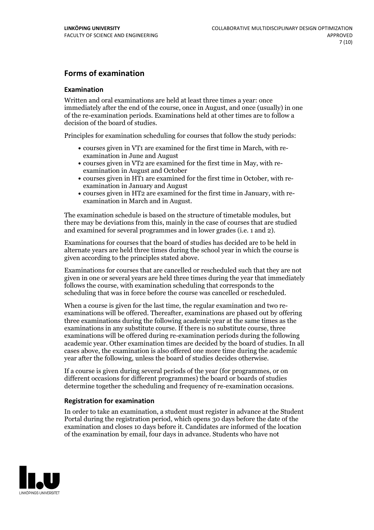### **Forms of examination**

#### **Examination**

Written and oral examinations are held at least three times a year: once immediately after the end of the course, once in August, and once (usually) in one of the re-examination periods. Examinations held at other times are to follow a decision of the board of studies.

Principles for examination scheduling for courses that follow the study periods:

- courses given in VT1 are examined for the first time in March, with re-examination in June and August
- courses given in VT2 are examined for the first time in May, with re-examination in August and October
- courses given in HT1 are examined for the first time in October, with re-examination in January and August
- courses given in HT2 are examined for the first time in January, with re-examination in March and in August.

The examination schedule is based on the structure of timetable modules, but there may be deviations from this, mainly in the case of courses that are studied and examined for several programmes and in lower grades (i.e. 1 and 2).

Examinations for courses that the board of studies has decided are to be held in alternate years are held three times during the school year in which the course is given according to the principles stated above.

Examinations for courses that are cancelled orrescheduled such that they are not given in one or several years are held three times during the year that immediately follows the course, with examination scheduling that corresponds to the scheduling that was in force before the course was cancelled or rescheduled.

When a course is given for the last time, the regular examination and two re-<br>examinations will be offered. Thereafter, examinations are phased out by offering three examinations during the following academic year at the same times as the examinations in any substitute course. If there is no substitute course, three examinations will be offered during re-examination periods during the following academic year. Other examination times are decided by the board of studies. In all cases above, the examination is also offered one more time during the academic year after the following, unless the board of studies decides otherwise.

If a course is given during several periods of the year (for programmes, or on different occasions for different programmes) the board or boards of studies determine together the scheduling and frequency of re-examination occasions.

#### **Registration for examination**

In order to take an examination, a student must register in advance at the Student Portal during the registration period, which opens 30 days before the date of the examination and closes 10 days before it. Candidates are informed of the location of the examination by email, four days in advance. Students who have not

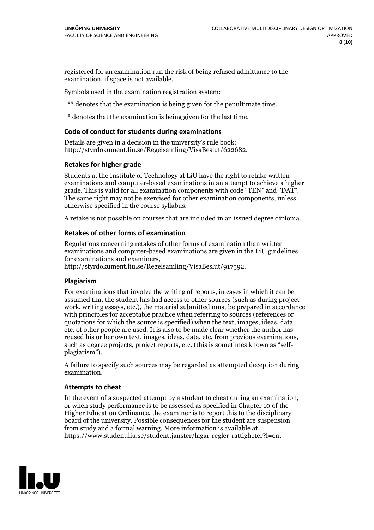registered for an examination run the risk of being refused admittance to the examination, if space is not available.

Symbols used in the examination registration system:

\*\* denotes that the examination is being given for the penultimate time.

\* denotes that the examination is being given for the last time.

#### **Code of conduct for students during examinations**

Details are given in a decision in the university's rule book: http://styrdokument.liu.se/Regelsamling/VisaBeslut/622682.

#### **Retakes for higher grade**

Students at the Institute of Technology at LiU have the right to retake written examinations and computer-based examinations in an attempt to achieve a higher grade. This is valid for all examination components with code "TEN" and "DAT". The same right may not be exercised for other examination components, unless otherwise specified in the course syllabus.

A retake is not possible on courses that are included in an issued degree diploma.

#### **Retakes of other forms of examination**

Regulations concerning retakes of other forms of examination than written examinations and computer-based examinations are given in the LiU guidelines

http://styrdokument.liu.se/Regelsamling/VisaBeslut/917592.

#### **Plagiarism**

For examinations that involve the writing of reports, in cases in which it can be assumed that the student has had access to other sources (such as during project work, writing essays, etc.), the material submitted must be prepared in accordance with principles for acceptable practice when referring to sources (references or quotations for which the source is specified) when the text, images, ideas, data,  $\vec{e}$  etc. of other people are used. It is also to be made clear whether the author has reused his or her own text, images, ideas, data, etc. from previous examinations, such as degree projects, project reports, etc. (this is sometimes known as "self- plagiarism").

A failure to specify such sources may be regarded as attempted deception during examination.

#### **Attempts to cheat**

In the event of <sup>a</sup> suspected attempt by <sup>a</sup> student to cheat during an examination, or when study performance is to be assessed as specified in Chapter <sup>10</sup> of the Higher Education Ordinance, the examiner is to report this to the disciplinary board of the university. Possible consequences for the student are suspension from study and a formal warning. More information is available at https://www.student.liu.se/studenttjanster/lagar-regler-rattigheter?l=en.

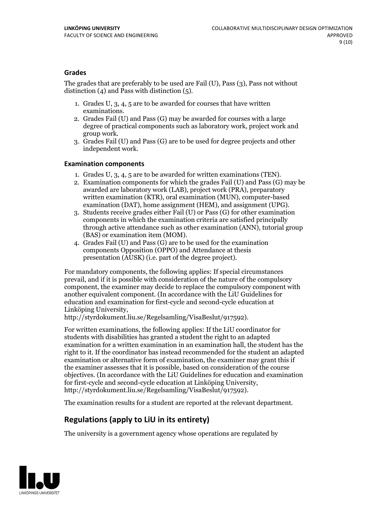#### **Grades**

The grades that are preferably to be used are Fail (U), Pass (3), Pass not without distinction  $(4)$  and Pass with distinction  $(5)$ .

- 1. Grades U, 3, 4, 5 are to be awarded for courses that have written
- examinations. 2. Grades Fail (U) and Pass (G) may be awarded for courses with <sup>a</sup> large degree of practical components such as laboratory work, project work and group work. 3. Grades Fail (U) and Pass (G) are to be used for degree projects and other
- independent work.

#### **Examination components**

- 
- 1. Grades U, 3, 4, <sup>5</sup> are to be awarded for written examinations (TEN). 2. Examination components for which the grades Fail (U) and Pass (G) may be awarded are laboratory work (LAB), project work (PRA), preparatory written examination (KTR), oral examination (MUN), computer-based
- examination (DAT), home assignment (HEM), and assignment (UPG). 3. Students receive grades either Fail (U) or Pass (G) for other examination components in which the examination criteria are satisfied principally through active attendance such as other examination (ANN), tutorial group
- (BAS) or examination item (MOM). 4. Grades Fail (U) and Pass (G) are to be used for the examination components Opposition (OPPO) and Attendance at thesis presentation (AUSK) (i.e. part of the degree project).

For mandatory components, the following applies: If special circumstances prevail, and if it is possible with consideration of the nature of the compulsory component, the examiner may decide to replace the compulsory component with another equivalent component. (In accordance with the LiU Guidelines for education and examination for first-cycle and second-cycle education at Linköping University, http://styrdokument.liu.se/Regelsamling/VisaBeslut/917592).

For written examinations, the following applies: If the LiU coordinator for students with disabilities has granted a student the right to an adapted examination for a written examination in an examination hall, the student has the right to it. If the coordinator has instead recommended for the student an adapted examination or alternative form of examination, the examiner may grant this if the examiner assesses that it is possible, based on consideration of the course objectives. (In accordance with the LiU Guidelines for education and examination for first-cycle and second-cycle education at Linköping University, http://styrdokument.liu.se/Regelsamling/VisaBeslut/917592).

The examination results for a student are reported at the relevant department.

### **Regulations (applyto LiU in its entirety)**

The university is a government agency whose operations are regulated by